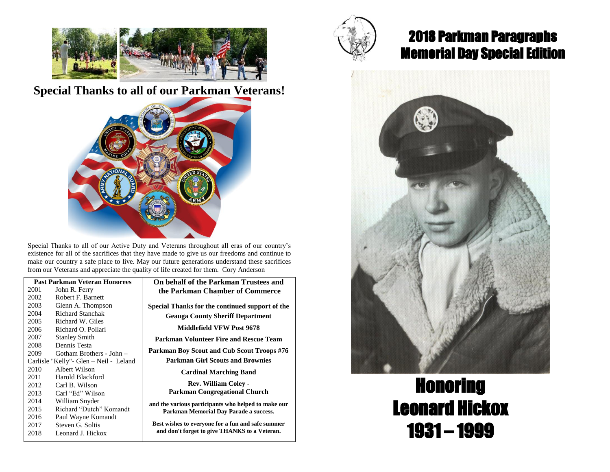

## **Special Thanks to all of our Parkman Veterans!**



Special Thanks to all of our Active Duty and Veterans throughout all eras of our country's existence for all of the sacrifices that they have made to give us our freedoms and continue to make our country a safe place to live. May our future generations understand these sacrifices from our Veterans and appreciate the quality of life created for them. Cory Anderson

| On behal           | <b>Past Parkman Veteran Honorees</b>   |      |
|--------------------|----------------------------------------|------|
| the Par            | John R. Ferry                          | 2001 |
|                    | Robert F. Barnett                      | 2002 |
| <b>Special Tha</b> | Glenn A. Thompson                      | 2003 |
| <b>Geau</b>        | Richard Stanchak                       | 2004 |
|                    | Richard W. Giles                       | 2005 |
| N                  | Richard O. Pollari                     | 2006 |
| Parkman            | <b>Stanley Smith</b>                   | 2007 |
|                    | Dennis Testa                           | 2008 |
| Parkman B          | Gotham Brothers - John -               | 2009 |
| Parkı              | Carlisle "Kelly"- Glen – Neil - Leland |      |
|                    | Albert Wilson                          | 2010 |
|                    | Harold Blackford                       | 2011 |
|                    | Carl B. Wilson                         | 2012 |
| Park               | Carl "Ed" Wilson                       | 2013 |
| and the varie      | William Snyder                         | 2014 |
| Parkma             | Richard "Dutch" Komandt                | 2015 |
|                    | Paul Wayne Komandt                     | 2016 |
| <b>Best wishes</b> | Steven G. Soltis                       | 2017 |
| and don't          | Leonard J. Hickox                      | 2018 |
|                    |                                        |      |

**If of the Parkman Trustees and the Parkman Chamber of Commerce 4**

**Inks for the continued support of the ga County Sheriff Department** 

**Middlefield VFW Post 9678**

**Parkman Volunteer Fire and Rescue Team** 

**Pay Scout and Cub Scout Troops #76 Paramer Girl Scouts and Brownies** 

**Cardinal Marching Band**

**Rev. William Coley -**

**Parkman Congregational Church**

**and the various participants who helped to make our Parkman Memorial Day Parade a success.**

to everyone for a fun and safe summer forget to give THANKS to a Veteran.



## 2018 Parkman Paragraphs Memorial Day Special Edition



## Honoring Leonard Hickox 1931 – 1999